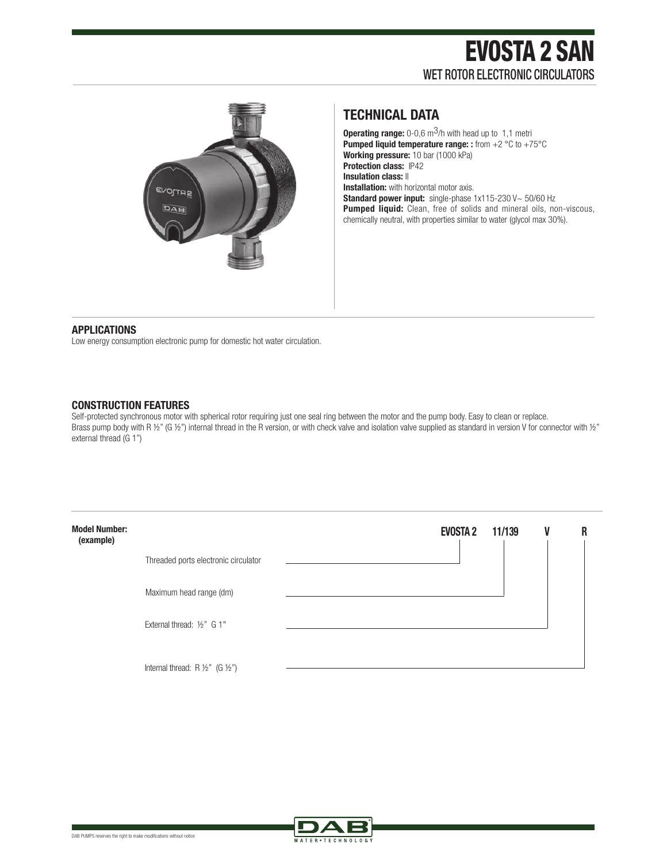

## **TECHNICAL DATA**

**Operating range:** 0-0,6 m<sup>3</sup>/h with head up to 1,1 metri **Pumped liquid temperature range: :** from +2 °C to +75°C **Working pressure:** 10 bar (1000 kPa) **Protection class:** IP42 **Insulation class:**  $\parallel$ **Installation:** with horizontal motor axis. **Standard power input:** single-phase 1x115-230 V~ 50/60 Hz **Pumped liquid:** Clean, free of solids and mineral oils, non-viscous, chemically neutral, with properties similar to water (glycol max 30%).

#### **APPLICATIONS**

Low energy consumption electronic pump for domestic hot water circulation.

### **CONSTRUCTION FEATURES**

Self-protected synchronous motor with spherical rotor requiring just one seal ring between the motor and the pump body. Easy to clean or replace. Brass pump body with R ½" (G ½") internal thread in the R version, or with check valve and isolation valve supplied as standard in version V for connector with ½" external thread (G 1")

| <b>Model Number:</b><br>(example) |                                                     | <b>EVOSTA 2</b> | 11/139 | V | R |
|-----------------------------------|-----------------------------------------------------|-----------------|--------|---|---|
|                                   | Threaded ports electronic circulator                |                 |        |   |   |
|                                   | Maximum head range (dm)                             |                 |        |   |   |
|                                   | External thread: 1/2" G 1"                          |                 |        |   |   |
|                                   | Internal thread: $R \frac{1}{2}$ (G $\frac{1}{2}$ ) |                 |        |   |   |

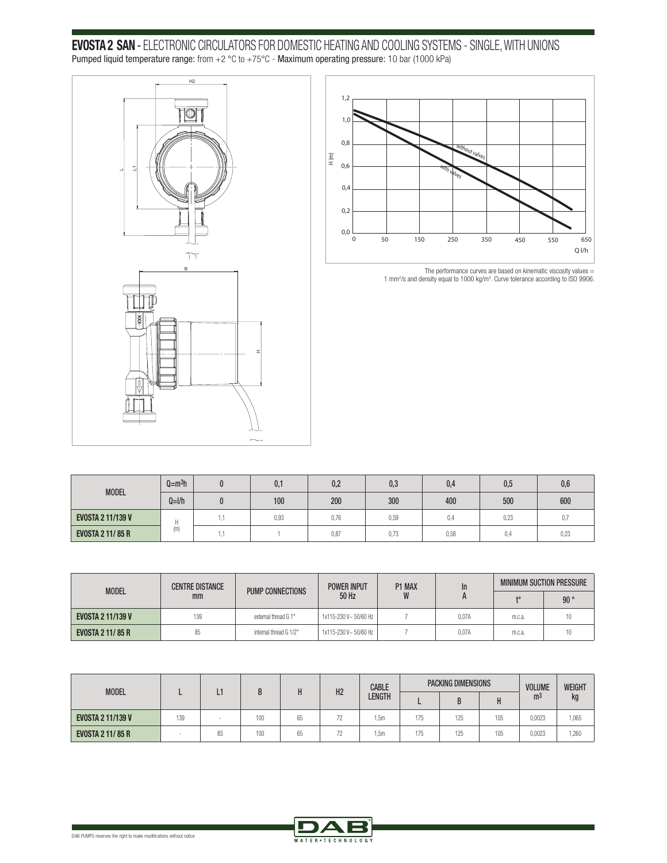**EVOSTA 2 SAN** - ELECTRONIC CIRCULATORS FOR DOMESTIC HEATING AND COOLING SYSTEMS - SINGLE, WITH UNIONS Pumped liquid temperature range: from +2 °C to +75°C - Maximum operating pressure: 10 bar (1000 kPa)





The performance curves are based on kinematic viscosity values = 1 mm<sup>2</sup> /s and density equal to 1000 kg/m<sup>3</sup> . Curve tolerance according to ISO 9906.

| <b>MODEL</b>             | $Q = m3h$ |              | 0,1  | 0,2  | 0,3  | 0,4  | 0,5  | 0,6  |
|--------------------------|-----------|--------------|------|------|------|------|------|------|
|                          | $Q=1/h$   |              | 100  | 200  | 300  | 400  | 500  | 600  |
| <b>EVOSTA 2 11/139 V</b> | (m)       | . .<br>L. L. | 0,93 | 0,76 | 0,59 | 0,4  | 0,23 | 0,   |
| <b>EVOSTA 2 11/85 R</b>  |           | . .          |      | 0,87 | 0,73 | 0,58 | 0,4  | 0,23 |

| <b>MODEL</b>             | <b>CENTRE DISTANCE</b> | <b>POWER INPUT</b>     |                       | P1 MAX | In    | <b>MINIMUM SUCTION PRESSURE</b> |     |  |
|--------------------------|------------------------|------------------------|-----------------------|--------|-------|---------------------------------|-----|--|
|                          | mm                     | PUMP CONNECTIONS       | 50 Hz                 |        | A     | ŧ٥                              | 90° |  |
| <b>EVOSTA 2 11/139 V</b> | 139                    | external thread G 1"   | 1x115-230 V~ 50/60 Hz |        | 0.07A | m.c.a.                          |     |  |
| <b>EVOSTA 2 11/85 R</b>  | 85                     | internal thread G 1/2" | 1x115-230 V~50/60 Hz  |        | 0.07A | m.c.a.                          |     |  |

|                          |     |    |     |    |                | <b>CABLE</b> | <b>PACKING DIMENSIONS</b> |     |     | <b>VOLUME</b>  | <b>WEIGHT</b> |
|--------------------------|-----|----|-----|----|----------------|--------------|---------------------------|-----|-----|----------------|---------------|
| <b>MODEL</b>             |     | -  |     |    | H <sub>2</sub> | LENGTH       |                           | D   |     | m <sup>3</sup> | kg            |
| <b>EVOSTA 2 11/139 V</b> | 139 |    | 100 | 65 | 72             | .5m          | 175                       | 125 | 105 | 0.0023         | 1,065         |
| <b>EVOSTA 2 11/85 R</b>  |     | 85 | 100 | 65 | 72             | . . 5m       | 175                       | 125 | 105 | 0,0023         | 1,260         |